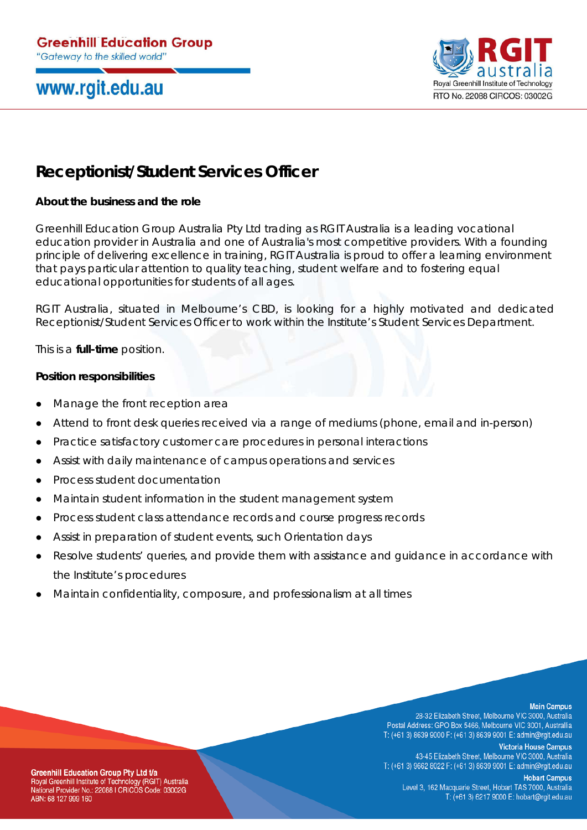# www.rgit.edu.au



## **Receptionist/Student Services Officer**

## **About the business and the role**

Greenhill Education Group Australia Pty Ltd trading as RGIT Australia is a leading vocational education provider in Australia and one of Australia's most competitive providers. With a founding principle of delivering excellence in training, RGIT Australia is proud to offer a learning environment that pays particular attention to quality teaching, student welfare and to fostering equal educational opportunities for students of all ages.

RGIT Australia, situated in Melbourne's CBD, is looking for a highly motivated and dedicated Receptionist/Student Services Officer to work within the Institute's Student Services Department.

This is a **full-time** position.

### **Position responsibilities**

- Manage the front reception area
- Attend to front desk queries received via a range of mediums (phone, email and in-person)
- Practice satisfactory customer care procedures in personal interactions
- Assist with daily maintenance of campus operations and services
- Process student documentation
- Maintain student information in the student management system
- Process student class attendance records and course progress records
- Assist in preparation of student events, such Orientation days
- Resolve students' queries, and provide them with assistance and quidance in accordance with the Institute's procedures
- Maintain confidentiality, composure, and professionalism at all times

#### **Main Campus**

28-32 Elizabeth Street, Melbourne VIC 3000, Australia Postal Address: GPO Box 5466, Melbourne VIC 3001, Australlia T: (+61 3) 8639 9000 F: (+61 3) 8639 9001 E: admin@rgit.edu.au

**Victoria House Campus** 43-45 Elizabeth Street, Melbourne VIC 3000, Australia T: (+61 3) 9662 8022 F: (+61 3) 8639 9001 E: admin@rgit.edu.au

**Hobart Campus** Level 3, 162 Macquarie Street, Hobart TAS 7000, Australia T: (+61 3) 6217 9000 E: hobart@rgit.edu.au

**Greenhill Education Group Pty Ltd t/a** Royal Greenhill Institute of Technology (RGIT) Australia National Provider No.: 22088 I CRICOS Code: 03002G ABN: 68 127 999 160